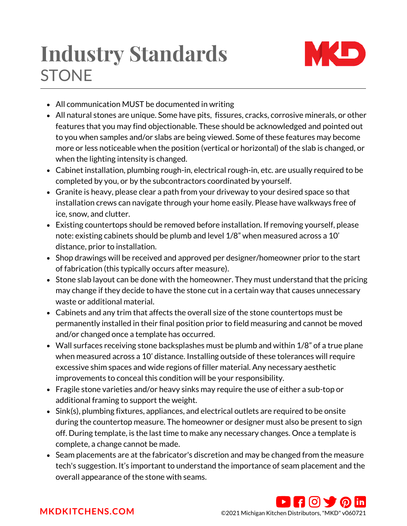## **STONE Industry Standards**



- All communication MUST be documented in writing
- All natural stones are unique. Some have pits, fissures, cracks, corrosive minerals, or other features that you may find objectionable. These should be acknowledged and pointed out to you when samples and/or slabs are being viewed. Some of these features may become more or less noticeable when the position (vertical or horizontal) of the slab is changed, or when the lighting intensity is changed.
- Cabinet installation, plumbing rough-in, electrical rough-in, etc. are usually required to be completed by you, or by the subcontractors coordinated by yourself.
- Granite is heavy, please clear a path from your driveway to your desired space so that installation crews can navigate through your home easily. Please have walkways free of ice, snow, and clutter.
- Existing countertops should be removed before installation. If removing yourself, please note: existing cabinets should be plumb and level 1/8" when measured across a 10' distance, prior to installation.
- Shop drawings will be received and approved per designer/homeowner prior to the start of fabrication (this typically occurs after measure).
- Stone slab layout can be done with the homeowner. They must understand that the pricing may change if they decide to have the stone cut in a certain way that causes unnecessary waste or additional material.
- Cabinets and any trim that affects the overall size of the stone countertops must be permanently installed in their final position prior to field measuring and cannot be moved and/or changed once a template has occurred.
- Wall surfaces receiving stone backsplashes must be plumb and within 1/8" of a true plane when measured across a 10' distance. Installing outside of these tolerances will require excessive shim spaces and wide regions of filler material. Any necessary aesthetic improvements to conceal this condition will be your responsibility.
- Fragile stone varieties and/or heavy sinks may require the use of either a sub-top or additional framing to support the weight.
- Sink(s), plumbing fixtures, appliances, and electrical outlets are required to be onsite during the countertop measure. The homeowner or designer must also be present to sign off. During template, is the last time to make any necessary changes. Once a template is complete, a change cannot be made.
- Seam placements are at the fabricator's discretion and may be changed from the measure tech's suggestion. It's important to understand the importance of seam placement and the overall appearance of the stone with seams.



**[MKDKITCHENS.COM](http://mkdkitchens.com/)** ©2021 Michigan Kitchen Distributors, "MKD" v060721